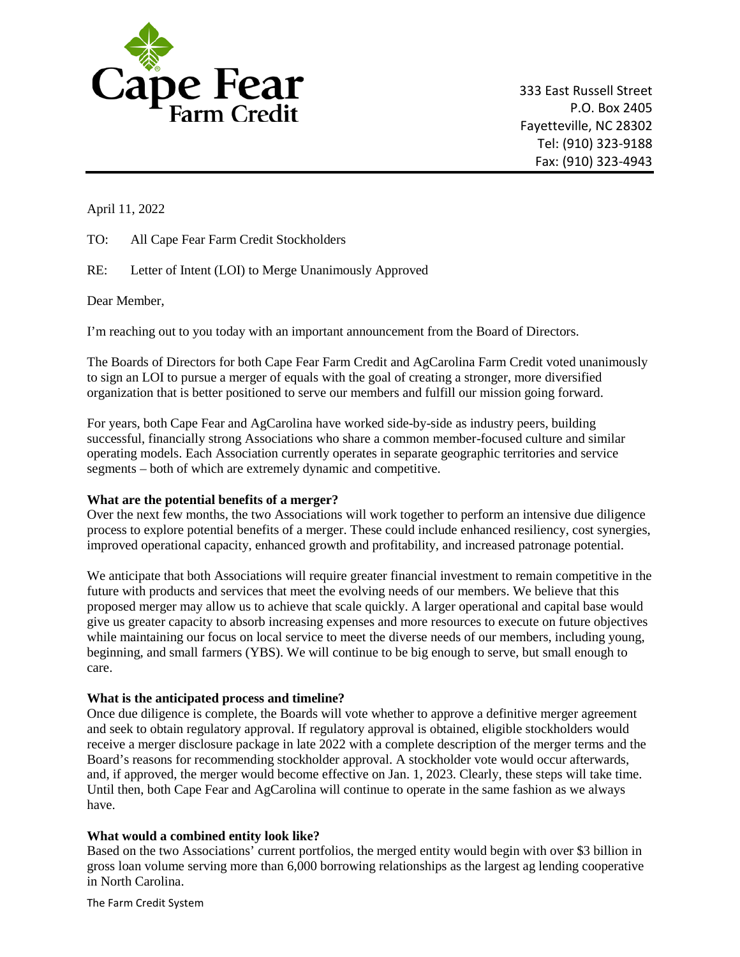

333 East Russell Street P.O. Box 2405 Fayetteville, NC 28302 Tel: (910) 323-9188 Fax: (910) 323-4943

April 11, 2022

TO: All Cape Fear Farm Credit Stockholders

RE: Letter of Intent (LOI) to Merge Unanimously Approved

Dear Member,

I'm reaching out to you today with an important announcement from the Board of Directors.

 to sign an LOI to pursue a merger of equals with the goal of creating a stronger, more diversified organization that is better positioned to serve our members and fulfill our mission going forward. The Boards of Directors for both Cape Fear Farm Credit and AgCarolina Farm Credit voted unanimously

For years, both Cape Fear and AgCarolina have worked side-by-side as industry peers, building successful, financially strong Associations who share a common member-focused culture and similar operating models. Each Association currently operates in separate geographic territories and service segments – both of which are extremely dynamic and competitive.

## **What are the potential benefits of a merger?**

Over the next few months, the two Associations will work together to perform an intensive due diligence process to explore potential benefits of a merger. These could include enhanced resiliency, cost synergies, improved operational capacity, enhanced growth and profitability, and increased patronage potential.

 give us greater capacity to absorb increasing expenses and more resources to execute on future objectives We anticipate that both Associations will require greater financial investment to remain competitive in the future with products and services that meet the evolving needs of our members. We believe that this proposed merger may allow us to achieve that scale quickly. A larger operational and capital base would while maintaining our focus on local service to meet the diverse needs of our members, including young, beginning, and small farmers (YBS). We will continue to be big enough to serve, but small enough to care.

## **What is the anticipated process and timeline?**

Once due diligence is complete, the Boards will vote whether to approve a definitive merger agreement and seek to obtain regulatory approval. If regulatory approval is obtained, eligible stockholders would receive a merger disclosure package in late 2022 with a complete description of the merger terms and the Board's reasons for recommending stockholder approval. A stockholder vote would occur afterwards, and, if approved, the merger would become effective on Jan. 1, 2023. Clearly, these steps will take time. Until then, both Cape Fear and AgCarolina will continue to operate in the same fashion as we always have.

## **What would a combined entity look like?**

 gross loan volume serving more than 6,000 borrowing relationships as the largest ag lending cooperative Based on the two Associations' current portfolios, the merged entity would begin with over \$3 billion in in North Carolina.